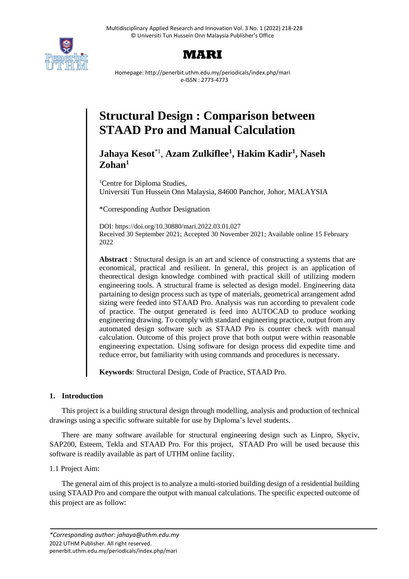



Homepage: http://penerbit.uthm.edu.my/periodicals/index.php/mari e-ISSN : 2773-4773

# **Structural Design : Comparison between STAAD Pro and Manual Calculation**

**Jahaya Kesot**\*1 , **Azam Zulkiflee<sup>1</sup> , Hakim Kadir<sup>1</sup> , Naseh Zohan<sup>1</sup>**

<sup>1</sup>Centre for Diploma Studies, Universiti Tun Hussein Onn Malaysia, 84600 Panchor, Johor, MALAYSIA

\*Corresponding Author Designation

DOI: https://doi.org/10.30880/mari.2022.03.01.027 Received 30 September 2021; Accepted 30 November 2021; Available online 15 February 2022

**Abstract** : Structural design is an art and science of constructing a systems that are economical, practical and resilient. In general, this project is an application of theorectical design knowledge combined with practical skill of utilizing modern engineering tools. A structural frame is selected as design model. Engineering data partaining to design process such as type of materials, geometrical arrangement adnd sizing were feeded into STAAD Pro. Analysis was run according to prevalent code of practice. The output generated is feed into AUTOCAD to produce working engineering drawing. To comply with standard engineering practice, output from any automated design software such as STAAD Pro is counter check with manual calculation. Outcome of this project prove that both output were within reasonable engineering expectation. Using software for design process did expedite time and reduce error, but familiarity with using commands and procedures is necessary.

**Keywords**: Structural Design, Code of Practice, STAAD Pro.

# **1. Introduction**

This project is a building structural design through modelling, analysis and production of technical drawings using a specific software suitable for use by Diploma's level students.

There are many software available for structural engineering design such as Linpro, Skyciv, SAP200, Esteem, Tekla and STAAD Pro. For this project, STAAD Pro will be used because this software is readily available as part of UTHM online facility.

1.1 Project Aim:

The general aim of this project is to analyze a multi-storied building design of a residential building using STAAD Pro and compare the output with manual calculations. The specific expected outcome of this project are as follow: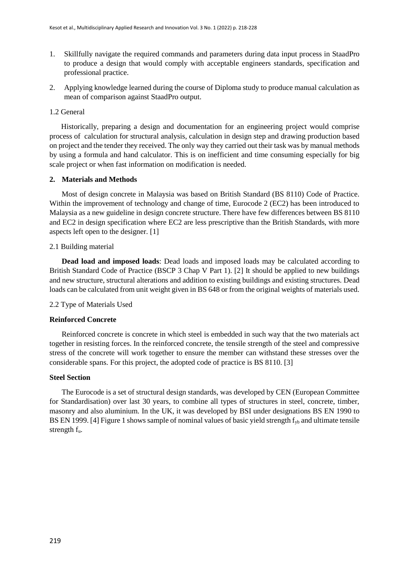- 1. Skillfully navigate the required commands and parameters during data input process in StaadPro to produce a design that would comply with acceptable engineers standards, specification and professional practice.
- 2. Applying knowledge learned during the course of Diploma study to produce manual calculation as mean of comparison against StaadPro output.

# 1.2 General

Historically, preparing a design and documentation for an engineering project would comprise process of calculation for structural analysis, calculation in design step and drawing production based on project and the tender they received. The only way they carried out their task was by manual methods by using a formula and hand calculator. This is on inefficient and time consuming especially for big scale project or when fast information on modification is needed.

# **2. Materials and Methods**

Most of design concrete in Malaysia was based on British Standard (BS 8110) Code of Practice. Within the improvement of technology and change of time, Eurocode 2 (EC2) has been introduced to Malaysia as a new guideline in design concrete structure. There have few differences between BS 8110 and EC2 in design specification where EC2 are less prescriptive than the British Standards, with more aspects left open to the designer. [1]

# 2.1 Building material

**Dead load and imposed loads**: Dead loads and imposed loads may be calculated according to British Standard Code of Practice (BSCP 3 Chap V Part 1). [2] It should be applied to new buildings and new structure, structural alterations and addition to existing buildings and existing structures. Dead loads can be calculated from unit weight given in BS 648 or from the original weights of materials used.

# 2.2 Type of Materials Used

# **Reinforced Concrete**

Reinforced concrete is concrete in which steel is embedded in such way that the two materials act together in resisting forces. In the reinforced concrete, the tensile strength of the steel and compressive stress of the concrete will work together to ensure the member can withstand these stresses over the considerable spans. For this project, the adopted code of practice is BS 8110. [3]

# **Steel Section**

The Eurocode is a set of structural design standards, was developed by CEN (European Committee for Standardisation) over last 30 years, to combine all types of structures in steel, concrete, timber, masonry and also aluminium. In the UK, it was developed by BSI under designations BS EN 1990 to BS EN 1999. [4] Figure 1 shows sample of nominal values of basic yield strength  $f_{vb}$  and ultimate tensile strength fu.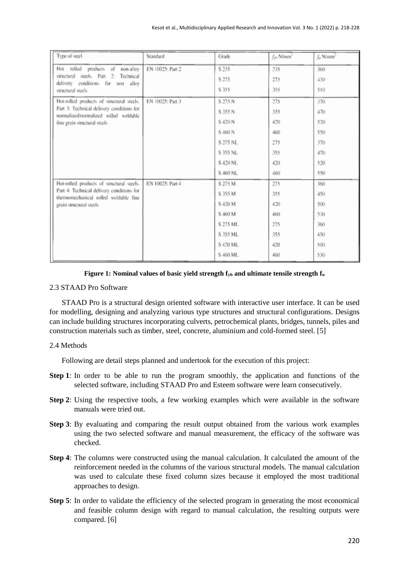| Type of steel                                                                      | Standard         | Grade    | $f_{\rm th}$ N/mm <sup>2</sup> | f <sub>u</sub> N/mm <sup>2</sup> |
|------------------------------------------------------------------------------------|------------------|----------|--------------------------------|----------------------------------|
| Hot rolled products of non-alloy                                                   | EN 10025: Part 2 | S 235    | 235                            | 360                              |
| structural steels. Part 2: Technical<br>delivery conditions for non<br>alloy       |                  | S 275    | 275                            | 430                              |
| structural steels                                                                  |                  | S 355    | 355                            | 510                              |
| Hot-rolled products of structural steels.                                          | EN 10025: Part 3 | S 275 N  | 275                            | 370                              |
| Part 3: Technical delivery conditions for<br>normalized/normalized rolled weldable |                  | S 355 N  | 355                            | 470                              |
| fine grain structural steels                                                       |                  | S 420 N  | 420                            | 520                              |
|                                                                                    |                  | S 460 N  | 460                            | 550                              |
|                                                                                    |                  | S 275 NL | 275                            | 370                              |
|                                                                                    |                  | S 355 NL | 355                            | 470                              |
|                                                                                    |                  | S 420 NL | 420                            | 520                              |
|                                                                                    |                  | S 460 NL | 460                            | 550                              |
| Hot-rolled products of structural steels.                                          | EN 10025: Part 4 | S 275 M  | 275                            | 360                              |
| Part 4: Technical delivery conditions for<br>thermomechanical rolled weldable fine |                  | S 355 M  | 355                            | 450                              |
| grain structural steels                                                            |                  | S 420 M  | 420                            | 500                              |
|                                                                                    |                  | S 460 M  | 460                            | 530                              |
|                                                                                    |                  | S 275 ML | 275                            | 360                              |
|                                                                                    |                  | S 355 ML | 355                            | 450                              |
|                                                                                    |                  | S 420 ML | 420                            | 500                              |
|                                                                                    |                  | S 460 ML | 460                            | 530                              |

#### **Figure 1: Nominal values of basic yield strength fyb and ultimate tensile strength f<sup>u</sup>**

#### 2.3 STAAD Pro Software

STAAD Pro is a structural design oriented software with interactive user interface. It can be used for modelling, designing and analyzing various type structures and structural configurations. Designs can include building structures incorporating culverts, petrochemical plants, bridges, tunnels, piles and construction materials such as timber, steel, concrete, aluminium and cold-formed steel. [5]

#### 2.4 Methods

Following are detail steps planned and undertook for the execution of this project:

- **Step 1**: In order to be able to run the program smoothly, the application and functions of the selected software, including STAAD Pro and Esteem software were learn consecutively.
- **Step 2**: Using the respective tools, a few working examples which were available in the software manuals were tried out.
- **Step 3**: By evaluating and comparing the result output obtained from the various work examples using the two selected software and manual measurement, the efficacy of the software was checked.
- **Step 4**: The columns were constructed using the manual calculation. It calculated the amount of the reinforcement needed in the columns of the various structural models. The manual calculation was used to calculate these fixed column sizes because it employed the most traditional approaches to design.
- **Step 5**: In order to validate the efficiency of the selected program in generating the most economical and feasible column design with regard to manual calculation, the resulting outputs were compared. [6]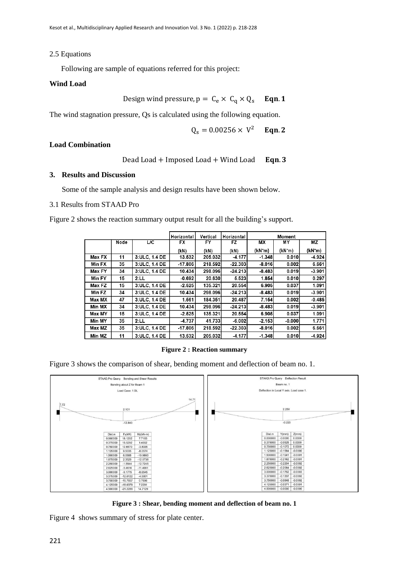#### 2.5 Equations

Following are sample of equations referred for this project:

#### **Wind Load**

Design wind pressure,  $p = C_e \times C_q \times Q_s$  **Eqn. 1** 

The wind stagnation pressure, Qs is calculated using the following equation.

$$
Q_s = 0.00256 \times V^2
$$
 Eqn. 2

#### **Load Combination**

Dead Load + Imposed Load + Wind Load 
$$
\text{Eqn. 3}
$$

#### **3. Results and Discussion**

Some of the sample analysis and design results have been shown below.

#### 3.1 Results from STAAD Pro

Figure 2 shows the reaction summary output result for all the building's support.

|        |      |               | Horizontal | Vertical | Horizontal |                     | Moment             |                    |
|--------|------|---------------|------------|----------|------------|---------------------|--------------------|--------------------|
|        | Node | L/C           | FX         | FY       | FZ         | МX                  | MΥ                 | ΜZ                 |
|        |      |               | (kN)       | (kN)     | (kN)       | (kN <sup>-</sup> m) | (kN <sub>m</sub> ) | (kN <sub>m</sub> ) |
| Max FX | 11   | 3:ULC, 1.4 DE | 13.532     | 205.032  | $-4.177$   | $-1.348$            | 0.010              | $-4.924$           |
| Min FX | 35   | 3:ULC, 1.4 DE | $-17.806$  | 218.592  | $-22.303$  | $-8.016$            | 0.002              | 6.661              |
| Max FY | 34   | 3:ULC, 1.4 DE | 10.434     | 298.096  | $-24.213$  | $-8.483$            | 0.019              | $-3.901$           |
| Min FY | 15   | 2:LL          | $-0.692$   | 20.630   | 5.523      | 1.854               | 0.010              | 0.297              |
| Max FZ | 15   | 3:ULC, 1.4 DE | $-2.525$   | 135.321  | 20.554     | 6.905               | 0.037              | 1.091              |
| Min FZ | 34   | 3:ULC, 1.4 DE | 10.434     | 298.096  | $-24.213$  | $-8.483$            | 0.019              | $-3.901$           |
| Max MX | 47   | 3:ULC, 1.4 DE | 1.561      | 184.351  | 20.487     | 7.154               | 0.002              | $-0.485$           |
| Min MX | 34   | 3:ULC, 1.4 DE | 10.434     | 298.096  | $-24.213$  | $-8.483$            | 0.019              | $-3.901$           |
| Max MY | 15   | 3:ULC, 1.4 DE | $-2.525$   | 135.321  | 20.554     | 6.905               | 0.037              | 1.091              |
| Min MY | 35   | 2:LL          | -4.737     | 41.733   | $-6.002$   | $-2.153$            | $-0.000$           | 1.771              |
| Max MZ | 35   | 3:ULC, 1.4 DE | $-17.806$  | 218.592  | $-22.303$  | $-8.016$            | 0.002              | 6.661              |
| Min MZ | 11   | 3:ULC, 1.4 DE | 13.532     | 205.032  | $-4.177$   | $-1.348$            | 0.010              | $-4.924$           |

**Figure 2 : Reaction summary**

Figure 3 shows the comparison of shear, bending moment and deflection of beam no. 1.



**Figure 3 : Shear, bending moment and deflection of beam no. 1**

Figure 4 shows summary of stress for plate center.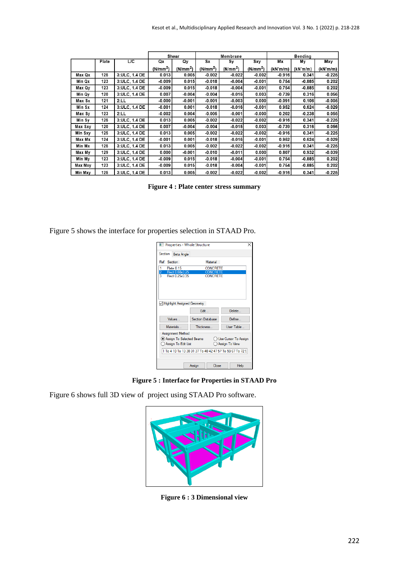|         |       |                 |                      | Shear                | Membrane             |                      | Bending              |          |          |                      |
|---------|-------|-----------------|----------------------|----------------------|----------------------|----------------------|----------------------|----------|----------|----------------------|
|         | Plate | $\overline{LC}$ | Qx                   | <b>Oy</b>            | <b>Sx</b>            | Sy                   | Sxy                  | Mx       | Μy       | Mxy                  |
|         |       |                 | (N/mm <sup>2</sup> ) | (N/mm <sup>2</sup> ) | (N/mm <sup>2</sup> ) | (N/mm <sup>2</sup> ) | (N/mm <sup>2</sup> ) | (kN'm/m) | (kN'm/m) | (kN <sub>m</sub> /m) |
| Max Qx  | 125   | 3:ULC, 1.4 DE   | 0.013                | 0.005                | $-0.002$             | $-0.022$             | $-0.002$             | $-0.916$ | 0.341    | $-0.225$             |
| Min Qx  | 123   | 3:ULC, 1.4 DE   | $-0.009$             | 0.015                | $-0.018$             | $-0.004$             | $-0.001$             | 0.754    | $-0.885$ | 0.202                |
| Max Qy  | 123   | 3: ULC, 1.4 DE  | $-0.009$             | 0.015                | $-0.018$             | $-0.004$             | $-0.001$             | 0.754    | $-0.885$ | 0.202                |
| Min Qy  | 120   | 3: ULC, 1.4 DE  | 0.007                | $-0.004$             | $-0.004$             | $-0.015$             | 0.003                | $-0.739$ | 0.316    | 0.056                |
| Max Sx  | 121   | 2:LL            | $-0.000$             | $-0.001$             | $-0.001$             | $-0.003$             | 0.000                | $-0.091$ | 0.106    | $-0.005$             |
| Min Sx  | 124   | 3: ULC, 1.4 DE  | $-0.001$             | 0.001                | $-0.018$             | $-0.016$             | $-0.001$             | 0.952    | 0.624    | $-0.029$             |
| Max Sy  | 123   | 2:LL            | $-0.002$             | 0.004                | $-0.005$             | $-0.001$             | $-0.000$             | 0.202    | $-0.238$ | 0.055                |
| Min Sv  | 125   | 3: ULC, 1.4 DE  | 0.013                | 0.005                | $-0.002$             | $-0.022$             | $-0.002$             | $-0.916$ | 0.341    | $-0.225$             |
| Max Sxy | 120   | 3: ULC, 1.4 DE  | 0.007                | $-0.004$             | $-0.004$             | $-0.015$             | 0.003                | $-0.739$ | 0.316    | 0.056                |
| Min Sxy | 125   | 3.ULC, 1.4 DE   | 0.013                | 0.005                | $-0.002$             | $-0.022$             | $-0.002$             | $-0.916$ | 0.341    | $-0.225$             |
| Max Mx  | 124   | 3: ULC, 1.4 DE  | $-0.001$             | 0.001                | $-0.018$             | $-0.016$             | $-0.001$             | 0.952    | 0.624    | $-0.029$             |
| Min Mx  | 125   | 3: ULC, 1.4 DE  | 0.013                | 0.005                | $-0.002$             | $-0.022$             | $-0.002$             | $-0.916$ | 0.341    | $-0.225$             |
| Max My  | 129   | 3: ULC, 1.4 DE  | 0.000                | $-0.001$             | $-0.010$             | $-0.011$             | 0.000                | 0.807    | 0.932    | $-0.039$             |
| Min My  | 123   | 3: ULC, 1.4 DE  | $-0.009$             | 0.015                | $-0.018$             | $-0.004$             | $-0.001$             | 0.754    | $-0.885$ | 0.202                |
| Max Mxy | 123   | 3: ULC, 1.4 DE  | $-0.009$             | 0.015                | $-0.018$             | $-0.004$             | $-0.001$             | 0.754    | $-0.885$ | 0.202                |
| Min Mxy | 125   | 3: ULC, 1.4 DE  | 0.013                | 0.005                | $-0.002$             | $-0.022$             | $-0.002$             | $-0.916$ | 0.341    | $-0.225$             |

**Figure 4 : Plate center stress summary**

Figure 5 shows the interface for properties selection in STAAD Pro.

| Properties - Whole Structure                             |                               |            |  |  |  |  |
|----------------------------------------------------------|-------------------------------|------------|--|--|--|--|
| Section                                                  | <b>Beta Angle</b>             |            |  |  |  |  |
| Ref Section                                              | Material                      |            |  |  |  |  |
| 1<br><b>Plate 0.15</b>                                   | <b>CONCRETE</b>               |            |  |  |  |  |
| $\frac{2}{3}$<br>Rect 0.60x0.25                          | <b>CONCRETE</b>               |            |  |  |  |  |
| Rect 0.25x0.35                                           | <b>CONCRETE</b>               |            |  |  |  |  |
|                                                          | V Highlight Assigned Geometry |            |  |  |  |  |
|                                                          | Fdit                          | Delete     |  |  |  |  |
| Values                                                   | <b>Section Database</b>       | Define     |  |  |  |  |
| <b>Materials</b>                                         | <b>Thickness</b>              | User Table |  |  |  |  |
|                                                          | Assignment Method             |            |  |  |  |  |
| Assign To Selected Beams<br>O Use Cursor To Assign       |                               |            |  |  |  |  |
| Assign To Edit List<br>Assign To View                    |                               |            |  |  |  |  |
|                                                          |                               |            |  |  |  |  |
| 1 To 4 10 To 13 30 31 37 To 40 42 47 57 To 59 67 To 72 9 |                               |            |  |  |  |  |
|                                                          |                               |            |  |  |  |  |
|                                                          |                               |            |  |  |  |  |
|                                                          | Close<br>Assign               | Help       |  |  |  |  |

**Figure 5 : Interface for Properties in STAAD Pro**

Figure 6 shows full 3D view of project using STAAD Pro software.



**Figure 6 : 3 Dimensional view**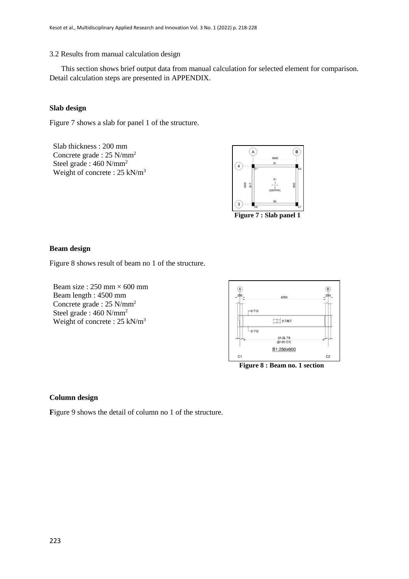## 3.2 Results from manual calculation design

This section shows brief output data from manual calculation for selected element for comparison. Detail calculation steps are presented in APPENDIX.

# **Slab design**

Figure 7 shows a slab for panel 1 of the structure.

Slab thickness : 200 mm Concrete grade : 25 N/mm<sup>2</sup> Steel grade : 460 N/mm<sup>2</sup> Weight of concrete : 25 kN/m<sup>3</sup>



**Figure 7 : Slab panel 1**

#### **Beam design**

Figure 8 shows result of beam no 1 of the structure.

Beam size :  $250$  mm  $\times$  600 mm Beam length : 4500 mm Concrete grade : 25 N/mm<sup>2</sup> Steel grade : 460 N/mm<sup>2</sup> Weight of concrete : 25 kN/m<sup>3</sup>



**Figure 8 : Beam no. 1 section**

# **Column design**

Figure 9 shows the detail of column no 1 of the structure.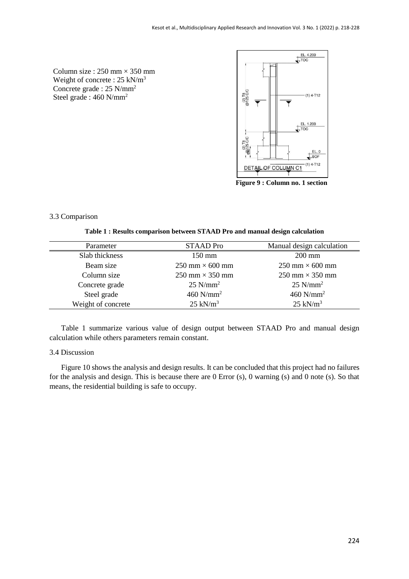Column size :  $250$  mm  $\times$  350 mm Weight of concrete : 25 kN/m<sup>3</sup> Concrete grade : 25 N/mm<sup>2</sup> Steel grade : 460 N/mm<sup>2</sup>



**Figure 9 : Column no. 1 section**

# 3.3 Comparison

**Table 1 : Results comparison between STAAD Pro and manual design calculation**

| Parameter          | <b>STAAD</b> Pro                       | Manual design calculation |
|--------------------|----------------------------------------|---------------------------|
| Slab thickness     | $150 \text{ mm}$                       | $200$ mm                  |
| Beam size          | $250 \text{ mm} \times 600 \text{ mm}$ | $250$ mm $\times$ 600 mm  |
| Column size        | $250$ mm $\times$ 350 mm               | $250$ mm $\times$ 350 mm  |
| Concrete grade     | $25$ N/mm <sup>2</sup>                 | $25$ N/mm <sup>2</sup>    |
| Steel grade        | $460$ N/mm <sup>2</sup>                | $460$ N/mm <sup>2</sup>   |
| Weight of concrete | $25$ kN/m <sup>3</sup>                 | $25$ kN/m <sup>3</sup>    |
|                    |                                        |                           |

Table 1 summarize various value of design output between STAAD Pro and manual design calculation while others parameters remain constant.

#### 3.4 Discussion

Figure 10 shows the analysis and design results. It can be concluded that this project had no failures for the analysis and design. This is because there are 0 Error (s), 0 warning (s) and 0 note (s). So that means, the residential building is safe to occupy.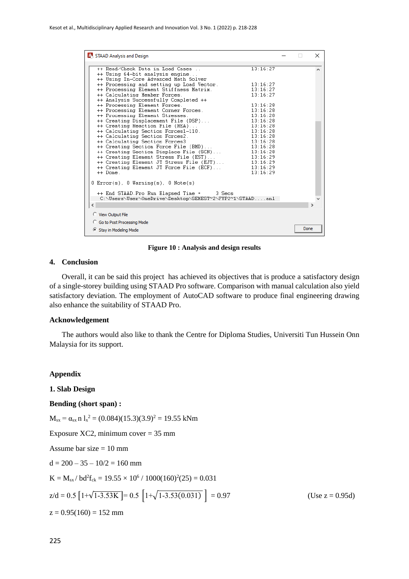| STAAD Analysis and Design                                                                                                                                                                                                                                                                                                                                                                                                                                                                                                                                                                                                                                                                                                                                                                                                                                                                                                                                                                                                                                                                                                                                                                                                            |      | ×             |
|--------------------------------------------------------------------------------------------------------------------------------------------------------------------------------------------------------------------------------------------------------------------------------------------------------------------------------------------------------------------------------------------------------------------------------------------------------------------------------------------------------------------------------------------------------------------------------------------------------------------------------------------------------------------------------------------------------------------------------------------------------------------------------------------------------------------------------------------------------------------------------------------------------------------------------------------------------------------------------------------------------------------------------------------------------------------------------------------------------------------------------------------------------------------------------------------------------------------------------------|------|---------------|
| ++ Read/Check Data in Load Cases<br>13:16:27<br>++ Using 64-bit analysis engine<br>++ Using In-Core Advanced Math Solver<br>++ Processing and setting up Load Vector.<br>13:16:27<br>++ Processing Element Stiffness Matrix.<br>13:16:27<br>++ Calculating Member Forces.<br>13:16:27<br>++ Analysis Successfully Completed ++<br>++ Processing Element Forces.<br>13:16:28<br>++ Processing Element Corner Forces.<br>13:16:28<br>13:16:28<br>++ Processing Element Stresses.<br>++ Creating Displacement File (DSP)<br>13:16:28<br>++ Creating Reaction File (REA)<br>13:16:28<br>++ Calculating Section Forces1-110.<br>13:16:28<br>++ Calculating Section Forces2.<br>13:16:28<br>++ Calculating Section Forces3<br>13:16:28<br>++ Creating Section Force File (BMD)<br>13:16:28<br>++ Creating Section Displace File (SCN)<br>13:16:28<br>++ Creating Element Stress File (EST)<br>13:16:29<br>++ Creating Element JT Stress File (EJT)<br>13:16:29<br>++ Creating Element JT Force File (ECF)<br>13:16:29<br>++ Done<br>13:16:29<br>$0 \text{ Error}(s)$ , $0 \text{ Warning}(s)$ , $0 \text{ Note}(s)$<br>++ End STAAD. Pro Run Elapsed Time = 3 Secs<br>C:\Users\User\OneDrive\Desktop\SEMEST~2\FYP2~1\STAADanl<br>$\langle$ |      | $\rightarrow$ |
| C View Output File<br><b>C</b> Go to Post Processing Mode                                                                                                                                                                                                                                                                                                                                                                                                                                                                                                                                                                                                                                                                                                                                                                                                                                                                                                                                                                                                                                                                                                                                                                            |      |               |
| Stay in Modeling Mode                                                                                                                                                                                                                                                                                                                                                                                                                                                                                                                                                                                                                                                                                                                                                                                                                                                                                                                                                                                                                                                                                                                                                                                                                | Done |               |

**Figure 10 : Analysis and design results**

#### **4. Conclusion**

Overall, it can be said this project has achieved its objectives that is produce a satisfactory design of a single-storey building using STAAD Pro software. Comparison with manual calculation also yield satisfactory deviation. The employment of AutoCAD software to produce final engineering drawing also enhance the suitability of STAAD Pro.

#### **Acknowledgement**

The authors would also like to thank the Centre for Diploma Studies, Universiti Tun Hussein Onn Malaysia for its support.

#### **Appendix**

# **1. Slab Design**

#### **Bending (short span) :**

 $M_{sx} = \alpha_{sx} n l_x^2 = (0.084)(15.3)(3.9)^2 = 19.55$  kNm

Exposure XC2, minimum cover  $= 35$  mm

Assume bar size  $= 10$  mm

 $d = 200 - 35 - 10/2 = 160$  mm

$$
K = M_{sx} / bd^2 f_{ck} = 19.55 \times 10^6 / 1000(160)^2(25) = 0.031
$$

$$
z/d = 0.5 \left[ 1 + \sqrt{1 - 3.53K} \right] = 0.5 \left[ 1 + \sqrt{1 - 3.53(0.031)} \right] = 0.97
$$
 (Use  $z = 0.95d$ )

 $z = 0.95(160) = 152$  mm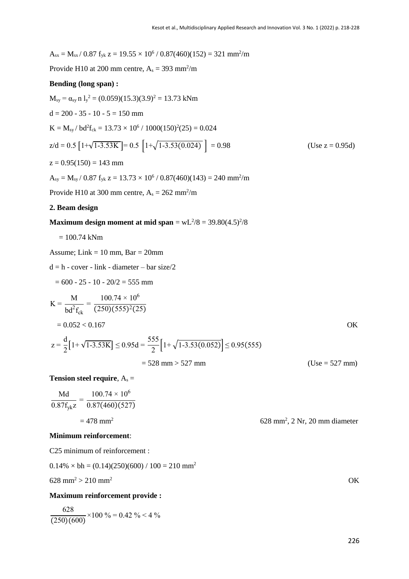$A_{sx} = M_{sx}/0.87 f_{yk} z = 19.55 \times 10^6 / 0.87(460)(152) = 321 mm<sup>2</sup>/m$ Provide H10 at 200 mm centre,  $A_s = 393$  mm<sup>2</sup>/m **Bending (long span) :**  $M_{sy} = \alpha_{sy} n l_y^2 = (0.059)(15.3)(3.9)^2 = 13.73$  kNm  $d = 200 - 35 - 10 - 5 = 150$  mm  $K = M_{sy} / bd^2f_{ck} = 13.73 \times 10^6 / 1000(150)^2(25) = 0.024$  $z/d = 0.5 \left[1 + \sqrt{1 - 3.53K}\right] = 0.5 \left[1 + \sqrt{1 - 3.53(0.024)}\right] = 0.98$  (Use z = 0.95d)  $z = 0.95(150) = 143$  mm  $A_{sy} = M_{sy}/0.87 f_{yk} z = 13.73 \times 10^6 / 0.87(460)(143) = 240$  mm<sup>2</sup>/m Provide H10 at 300 mm centre,  $A_s = 262$  mm<sup>2</sup>/m **2. Beam design Maximum design moment at mid span** =  $wL^{2}/8 = 39.80(4.5)^{2}/8$  $= 100.74$  kNm Assume; Link  $= 10$  mm, Bar  $= 20$ mm  $d = h - cover - link - diameter - bar size/2$  $= 600 - 25 - 10 - 20/2 = 555$  mm  $K =$ M  $bd^2f_{ck}$ =  $100.74 \times 10^6$  $(250)(555)^{2}(25)$  $= 0.052 < 0.167$  OK  $z =$ d  $\frac{1}{2}[1+\sqrt{1-3.53K}] \le 0.95d =$ 555  $\left[1+\sqrt{1-3.53(0.052)}\right] \leq 0.95(555)$  $= 528$  mm  $> 527$  mm **Tension steel require, As =** Md  $100.74 \times 10^6$ 

$$
\frac{Md}{0.87f_{yk}z} = \frac{100.74 \times 10}{0.87(460)(527)}
$$
  
= 478 mm<sup>2</sup>

#### **Minimum reinforcement**:

C25 minimum of reinforcement :

$$
628 \text{ mm}^2 > 210 \text{ mm}^2
$$
 OK

#### **Maximum reinforcement provide :**

 $0.14\% \times bh = (0.14)(250)(600) / 100 = 210 \text{ mm}^2$ 

628  $\frac{128}{(250)(600)} \times 100\% = 0.42\% < 4\%$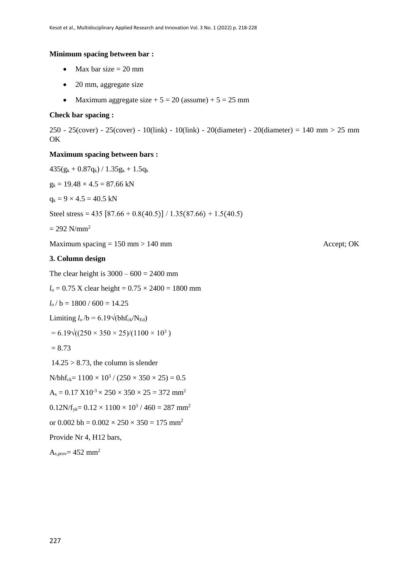#### **Minimum spacing between bar :**

- $Max bar size = 20 mm$
- 20 mm, aggregate size
- Maximum aggregate size  $+ 5 = 20$  (assume)  $+ 5 = 25$  mm

#### **Check bar spacing :**

250 - 25(cover) - 25(cover) - 10(link) - 10(link) - 20(diameter) - 20(diameter) = 140 mm > 25 mm OK

#### **Maximum spacing between bars :**

 $435(g_k + 0.87q_k) / 1.35g_k + 1.5q_k$ 

 $g_k = 19.48 \times 4.5 = 87.66$  kN  $q_k = 9 \times 4.5 = 40.5$  kN Steel stress =  $435 [87.66 + 0.8(40.5)] / 1.35(87.66) + 1.5(40.5)$  $= 292$  N/mm<sup>2</sup> Maximum spacing  $= 150 \text{ mm} > 140 \text{ mm}$ **3. Column design** The clear height is  $3000 - 600 = 2400$  mm  $l_0 = 0.75$  X clear height =  $0.75 \times 2400 = 1800$  mm  $l_o / b = 1800 / 600 = 14.25$ Limiting  $l_o/b = 6.19\sqrt{\text{bhf}_{ck}/N_{Ed}}$  $= 6.19\sqrt{((250 \times 350 \times 25)/(1100 \times 10^3))}$  $= 8.73$  $14.25 > 8.73$ , the column is slender  $N/bhf_{ck} = 1100 \times 10^3 / (250 \times 350 \times 25) = 0.5$  $A_s = 0.17 \text{ X}10^{-3} \times 250 \times 350 \times 25 = 372 \text{ mm}^2$  $0.12N/f_{yk} = 0.12 \times 1100 \times 10^3 / 460 = 287$  mm<sup>2</sup> or 0.002 bh =  $0.002 \times 250 \times 350 = 175$  mm<sup>2</sup> Provide Nr 4, H12 bars,  $A<sub>s,prov</sub> = 452 mm<sup>2</sup>$